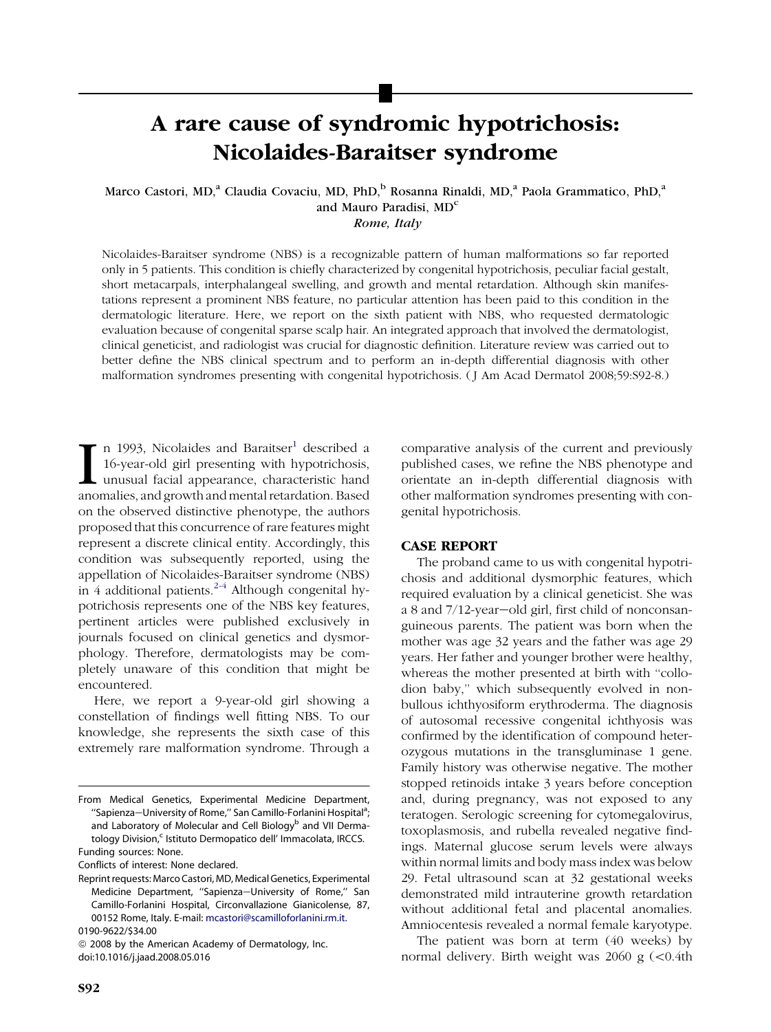# A rare cause of syndromic hypotrichosis: Nicolaides-Baraitser syndrome

## Marco Castori, MD,<sup>a</sup> Claudia Covaciu, MD, PhD,<sup>b</sup> Rosanna Rinaldi, MD,<sup>a</sup> Paola Grammatico, PhD,<sup>a</sup> and Mauro Paradisi, MD<sup>c</sup>

Rome, Italy

Nicolaides-Baraitser syndrome (NBS) is a recognizable pattern of human malformations so far reported only in 5 patients. This condition is chiefly characterized by congenital hypotrichosis, peculiar facial gestalt, short metacarpals, interphalangeal swelling, and growth and mental retardation. Although skin manifestations represent a prominent NBS feature, no particular attention has been paid to this condition in the dermatologic literature. Here, we report on the sixth patient with NBS, who requested dermatologic evaluation because of congenital sparse scalp hair. An integrated approach that involved the dermatologist, clinical geneticist, and radiologist was crucial for diagnostic definition. Literature review was carried out to better define the NBS clinical spectrum and to perform an in-depth differential diagnosis with other malformation syndromes presenting with congenital hypotrichosis. ( J Am Acad Dermatol 2008;59:S92-8.)

In 1993, Nicolaides and Baraitser<sup>1</sup> described a 16-year-old girl presenting with hypotrichosis, unusual facial appearance, characteristic hand anomalies, and growth and mental retardation. Based n [1](#page-5-0)993, Nicolaides and Baraitser<sup>1</sup> described a 16-year-old girl presenting with hypotrichosis, unusual facial appearance, characteristic hand on the observed distinctive phenotype, the authors proposed that this concurrence of rare features might represent a discrete clinical entity. Accordingly, this condition was subsequently reported, using the appellation of Nicolaides-Baraitser syndrome (NBS) in 4 additional patients. $2-4$  Although congenital hypotrichosis represents one of the NBS key features, pertinent articles were published exclusively in journals focused on clinical genetics and dysmorphology. Therefore, dermatologists may be completely unaware of this condition that might be encountered.

Here, we report a 9-year-old girl showing a constellation of findings well fitting NBS. To our knowledge, she represents the sixth case of this extremely rare malformation syndrome. Through a

Conflicts of interest: None declared.

© 2008 by the American Academy of Dermatology, Inc. doi:10.1016/j.jaad.2008.05.016

comparative analysis of the current and previously published cases, we refine the NBS phenotype and orientate an in-depth differential diagnosis with other malformation syndromes presenting with congenital hypotrichosis.

#### CASE REPORT

The proband came to us with congenital hypotrichosis and additional dysmorphic features, which required evaluation by a clinical geneticist. She was a 8 and 7/12-year-old girl, first child of nonconsanguineous parents. The patient was born when the mother was age 32 years and the father was age 29 years. Her father and younger brother were healthy, whereas the mother presented at birth with ''collodion baby,'' which subsequently evolved in nonbullous ichthyosiform erythroderma. The diagnosis of autosomal recessive congenital ichthyosis was confirmed by the identification of compound heterozygous mutations in the transgluminase 1 gene. Family history was otherwise negative. The mother stopped retinoids intake 3 years before conception and, during pregnancy, was not exposed to any teratogen. Serologic screening for cytomegalovirus, toxoplasmosis, and rubella revealed negative findings. Maternal glucose serum levels were always within normal limits and body mass index was below 29. Fetal ultrasound scan at 32 gestational weeks demonstrated mild intrauterine growth retardation without additional fetal and placental anomalies. Amniocentesis revealed a normal female karyotype.

The patient was born at term (40 weeks) by normal delivery. Birth weight was  $2060 \text{ g } (<0.4 \text{th }$ 

From Medical Genetics, Experimental Medicine Department, "Sapienza-University of Rome," San Camillo-Forlanini Hospital<sup>a</sup>; and Laboratory of Molecular and Cell Biology<sup>b</sup> and VII Dermatology Division,<sup>c</sup> Istituto Dermopatico dell' Immacolata, IRCCS. Funding sources: None.

Reprint requests: Marco Castori, MD, Medical Genetics, Experimental Medicine Department, "Sapienza-University of Rome," San Camillo-Forlanini Hospital, Circonvallazione Gianicolense, 87, 00152 Rome, Italy. E-mail: [mcastori@scamilloforlanini.rm.it.](mailto:mcastori@scamilloforlanini.rm.it)

<sup>0190-9622/\$34.00</sup>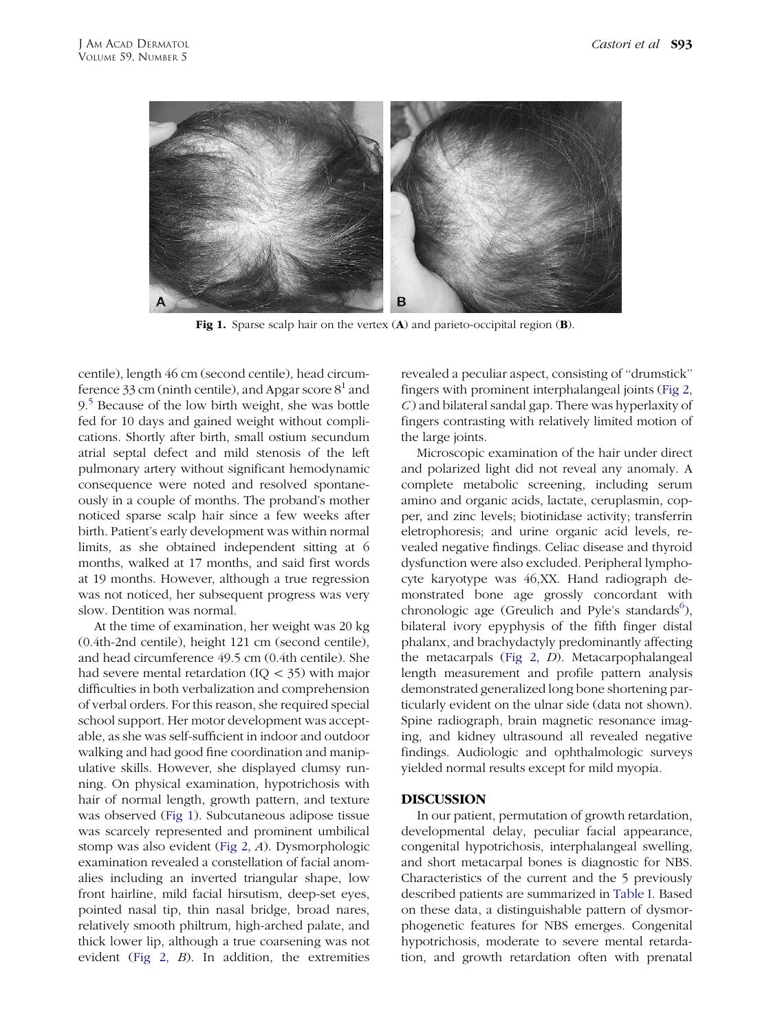

Fig 1. Sparse scalp hair on the vertex (A) and parieto-occipital region (B).

centile), length 46 cm (second centile), head circumference 33 cm (ninth centile), and Apgar score  $8^1$  $8^1$  and  $9<sup>5</sup>$  $9<sup>5</sup>$  $9<sup>5</sup>$  Because of the low birth weight, she was bottle fed for 10 days and gained weight without complications. Shortly after birth, small ostium secundum atrial septal defect and mild stenosis of the left pulmonary artery without significant hemodynamic consequence were noted and resolved spontaneously in a couple of months. The proband's mother noticed sparse scalp hair since a few weeks after birth. Patient's early development was within normal limits, as she obtained independent sitting at 6 months, walked at 17 months, and said first words at 19 months. However, although a true regression was not noticed, her subsequent progress was very slow. Dentition was normal.

At the time of examination, her weight was 20 kg (0.4th-2nd centile), height 121 cm (second centile), and head circumference 49.5 cm (0.4th centile). She had severe mental retardation (IQ  $\lt$  35) with major difficulties in both verbalization and comprehension of verbal orders. For this reason, she required special school support. Her motor development was acceptable, as she was self-sufficient in indoor and outdoor walking and had good fine coordination and manipulative skills. However, she displayed clumsy running. On physical examination, hypotrichosis with hair of normal length, growth pattern, and texture was observed (Fig 1). Subcutaneous adipose tissue was scarcely represented and prominent umbilical stomp was also evident ([Fig 2,](#page-2-0) A). Dysmorphologic examination revealed a constellation of facial anomalies including an inverted triangular shape, low front hairline, mild facial hirsutism, deep-set eyes, pointed nasal tip, thin nasal bridge, broad nares, relatively smooth philtrum, high-arched palate, and thick lower lip, although a true coarsening was not evident [\(Fig 2,](#page-2-0) B). In addition, the extremities revealed a peculiar aspect, consisting of ''drumstick'' fingers with prominent interphalangeal joints [\(Fig 2](#page-2-0),  $C$ ) and bilateral sandal gap. There was hyperlaxity of fingers contrasting with relatively limited motion of the large joints.

Microscopic examination of the hair under direct and polarized light did not reveal any anomaly. A complete metabolic screening, including serum amino and organic acids, lactate, ceruplasmin, copper, and zinc levels; biotinidase activity; transferrin eletrophoresis; and urine organic acid levels, revealed negative findings. Celiac disease and thyroid dysfunction were also excluded. Peripheral lymphocyte karyotype was 46,XX. Hand radiograph demonstrated bone age grossly concordant with chronologic age (Greulich and Pyle's standards<sup>[6](#page-6-0)</sup>), bilateral ivory epyphysis of the fifth finger distal phalanx, and brachydactyly predominantly affecting the metacarpals [\(Fig 2,](#page-2-0) D). Metacarpophalangeal length measurement and profile pattern analysis demonstrated generalized long bone shortening particularly evident on the ulnar side (data not shown). Spine radiograph, brain magnetic resonance imaging, and kidney ultrasound all revealed negative findings. Audiologic and ophthalmologic surveys yielded normal results except for mild myopia.

#### DISCUSSION

In our patient, permutation of growth retardation, developmental delay, peculiar facial appearance, congenital hypotrichosis, interphalangeal swelling, and short metacarpal bones is diagnostic for NBS. Characteristics of the current and the 5 previously described patients are summarized in [Table I.](#page-3-0) Based on these data, a distinguishable pattern of dysmorphogenetic features for NBS emerges. Congenital hypotrichosis, moderate to severe mental retardation, and growth retardation often with prenatal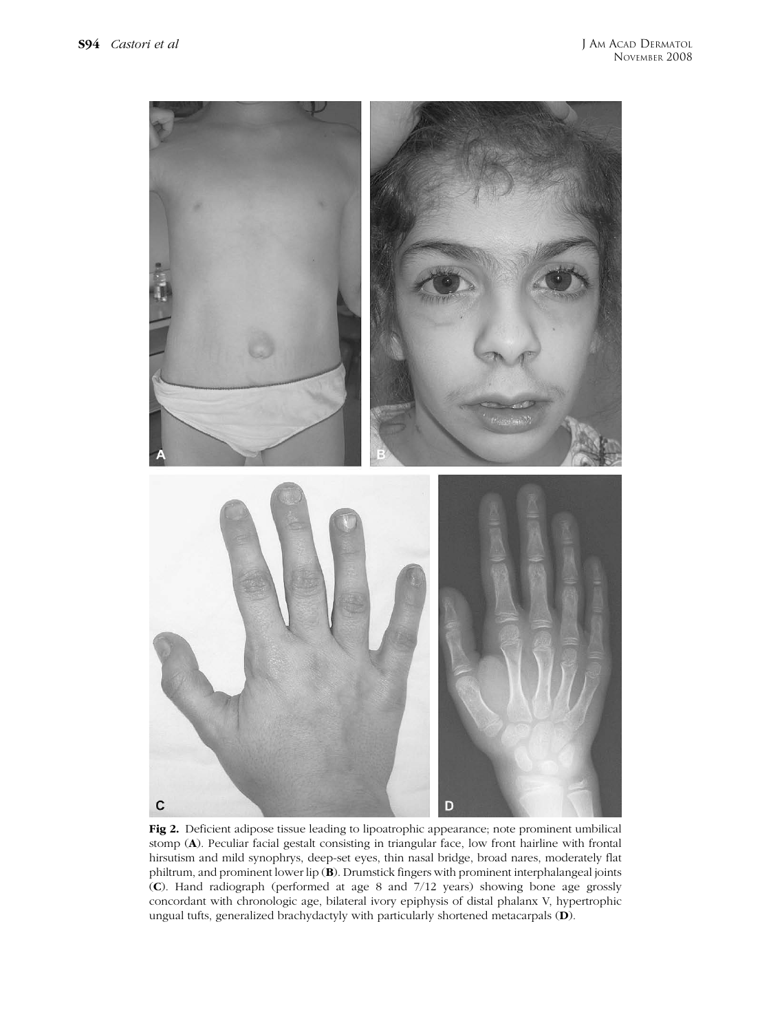<span id="page-2-0"></span>

Fig 2. Deficient adipose tissue leading to lipoatrophic appearance; note prominent umbilical stomp (A). Peculiar facial gestalt consisting in triangular face, low front hairline with frontal hirsutism and mild synophrys, deep-set eyes, thin nasal bridge, broad nares, moderately flat philtrum, and prominent lower lip (B). Drumstick fingers with prominent interphalangeal joints (C). Hand radiograph (performed at age 8 and 7/12 years) showing bone age grossly concordant with chronologic age, bilateral ivory epiphysis of distal phalanx V, hypertrophic ungual tufts, generalized brachydactyly with particularly shortened metacarpals (D).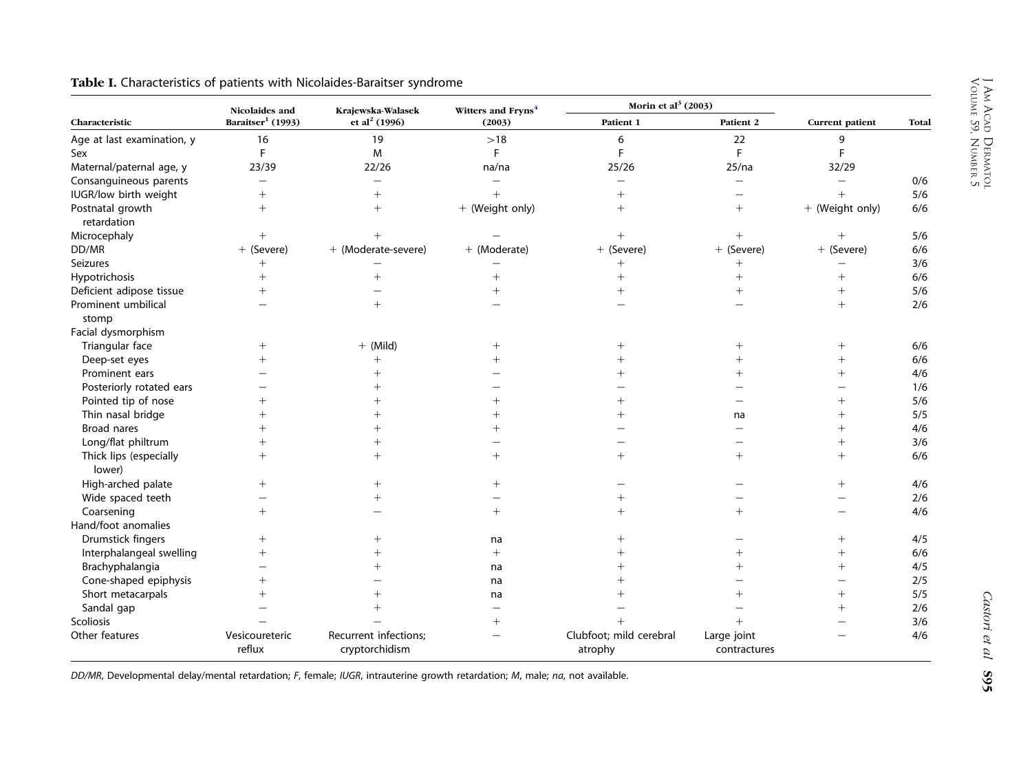| Characteristic                   | Nicolaides and<br>Baraitser <sup>1</sup> (1993) | Krajewska-Walasek<br>et al <sup>2</sup> (1996) | Witters and Fryns <sup>4</sup><br>(2003) | Morin et al <sup>3</sup> (2003)    |                             |                          |       |
|----------------------------------|-------------------------------------------------|------------------------------------------------|------------------------------------------|------------------------------------|-----------------------------|--------------------------|-------|
|                                  |                                                 |                                                |                                          | Patient 1                          | Patient 2                   | Current patient          | Total |
| Age at last examination, y       | 16                                              | 19                                             | $>18$                                    | 6                                  | 22                          | 9                        |       |
| Sex                              | F                                               | M                                              | F                                        | F                                  | F.                          | F                        |       |
| Maternal/paternal age, y         | 23/39                                           | 22/26                                          | na/na                                    | 25/26                              | 25/na                       | 32/29                    |       |
| Consanguineous parents           |                                                 |                                                |                                          |                                    |                             |                          | 0/6   |
| IUGR/low birth weight            | $^{+}$                                          | $+$                                            | $+$                                      | $^{+}$                             |                             | $+$                      | 5/6   |
| Postnatal growth<br>retardation  | $+$                                             | $^{+}$                                         | + (Weight only)                          | $^{+}$                             | $^{+}$                      | + (Weight only)          | 6/6   |
| Microcephaly                     | $^{+}$                                          |                                                |                                          | $^{+}$                             | $+$                         | $\ddot{}$                | 5/6   |
| DD/MR                            | + (Severe)                                      | + (Moderate-severe)                            | + (Moderate)                             | + (Severe)                         | + (Severe)                  | + (Severe)               | 6/6   |
| <b>Seizures</b>                  | $^{+}$                                          |                                                |                                          | $^{+}$                             | $^{+}$                      |                          | 3/6   |
| Hypotrichosis                    |                                                 | $^{+}$                                         | $^{+}$                                   | $^{+}$                             | $^{+}$                      | $^{+}$                   | 6/6   |
| Deficient adipose tissue         | $^{+}$                                          |                                                | $+$                                      | $^{+}$                             | $+$                         | $+$                      | 5/6   |
| Prominent umbilical              |                                                 | $^{+}$                                         |                                          |                                    |                             | $+$                      | 2/6   |
| stomp                            |                                                 |                                                |                                          |                                    |                             |                          |       |
| Facial dysmorphism               |                                                 |                                                |                                          |                                    |                             |                          |       |
| Triangular face                  | $^{+}$                                          | $+$ (Mild)                                     | $^{+}$                                   | $^+$                               | $^{+}$                      | $^{+}$                   | 6/6   |
| Deep-set eyes                    |                                                 | $^{+}$                                         | $^{+}$                                   |                                    | $^{+}$                      | $^{+}$                   | 6/6   |
| Prominent ears                   |                                                 | $+$                                            |                                          |                                    | $^{+}$                      | $^{+}$                   | 4/6   |
| Posteriorly rotated ears         |                                                 |                                                |                                          |                                    |                             |                          | 1/6   |
| Pointed tip of nose              |                                                 |                                                | $^{+}$                                   |                                    |                             | $^{+}$                   | 5/6   |
| Thin nasal bridge                |                                                 | $^{+}$                                         | $^{+}$                                   | $^{+}$                             | na                          | $^{+}$                   | 5/5   |
| Broad nares                      |                                                 | $^{+}$                                         | $^{+}$                                   |                                    |                             | $+$                      | 4/6   |
| Long/flat philtrum               |                                                 |                                                |                                          |                                    |                             | $^{+}$                   | 3/6   |
| Thick lips (especially<br>lower) |                                                 | $\overline{+}$                                 | $^{+}$                                   |                                    | $+$                         | $+$                      | 6/6   |
| High-arched palate               |                                                 |                                                | $\overline{+}$                           |                                    |                             | $^{+}$                   | 4/6   |
| Wide spaced teeth                |                                                 |                                                |                                          |                                    |                             |                          | 2/6   |
| Coarsening                       | $^{+}$                                          |                                                | $+$                                      | $^{+}$                             | $^{+}$                      |                          | 4/6   |
| Hand/foot anomalies              |                                                 |                                                |                                          |                                    |                             |                          |       |
| Drumstick fingers                |                                                 |                                                | na                                       |                                    |                             | $^+$                     | 4/5   |
| Interphalangeal swelling         |                                                 |                                                | $^{+}$                                   |                                    | $^{+}$                      | $^{+}$                   | 6/6   |
| Brachyphalangia                  |                                                 |                                                | na                                       |                                    | $^{+}$                      | $+$                      | 4/5   |
| Cone-shaped epiphysis            |                                                 |                                                | na                                       |                                    |                             | $\overline{\phantom{0}}$ | 2/5   |
| Short metacarpals                |                                                 |                                                | na                                       |                                    | $^{+}$                      | $+$                      | 5/5   |
| Sandal gap                       |                                                 |                                                |                                          |                                    |                             | $+$                      | 2/6   |
| Scoliosis                        |                                                 |                                                | $^{+}$                                   |                                    | $+$                         |                          | 3/6   |
| Other features                   | Vesicoureteric<br>reflux                        | Recurrent infections;<br>cryptorchidism        |                                          | Clubfoot; mild cerebral<br>atrophy | Large joint<br>contractures |                          | 4/6   |

### <span id="page-3-0"></span>Table I. Characteristics of patients with Nicolaides-Baraitser syndrome

DD/MR, Developmental delay/mental retardation; F, female; IUGR, intrauterine growth retardation; M, male; na, not available.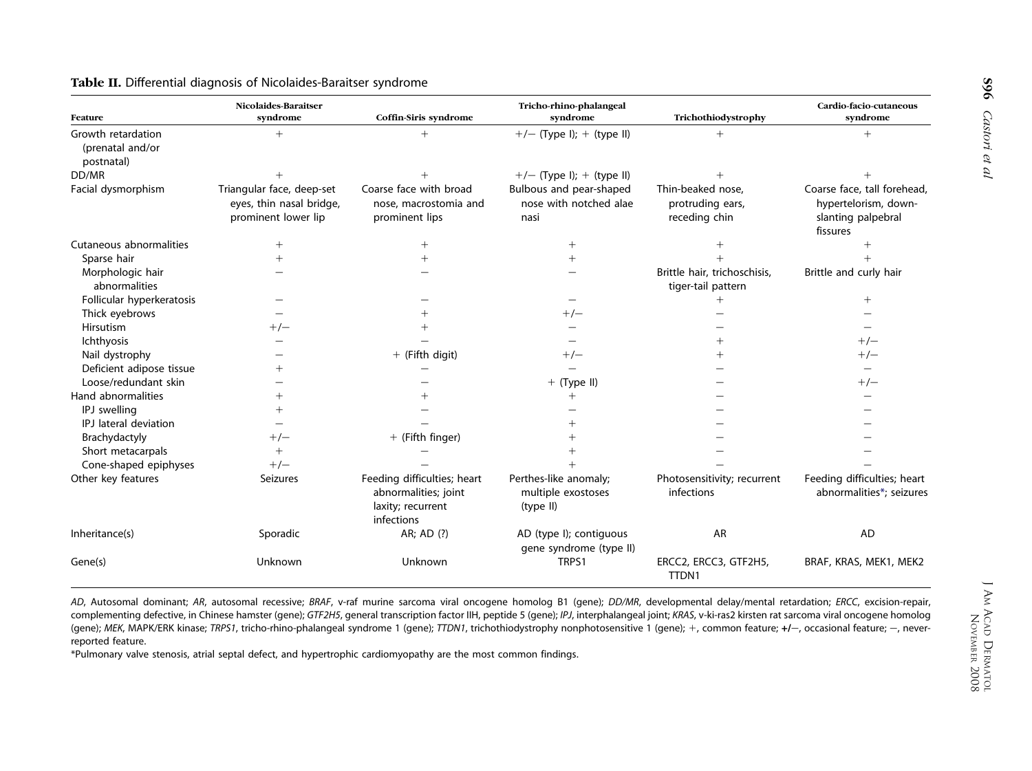| Feature                                              | Nicolaides-Baraitser<br>syndrome                                             | Coffin-Siris syndrome                                                                  | Tricho-rhino-phalangeal<br>syndrome                       | Trichothiodystrophy                                    | Cardio-facio-cutaneous<br>syndrome                                                    |
|------------------------------------------------------|------------------------------------------------------------------------------|----------------------------------------------------------------------------------------|-----------------------------------------------------------|--------------------------------------------------------|---------------------------------------------------------------------------------------|
| Growth retardation<br>(prenatal and/or<br>postnatal) | $^{+}$                                                                       |                                                                                        | $+/-$ (Type I); + (type II)                               | $^{+}$                                                 |                                                                                       |
| DD/MR                                                |                                                                              |                                                                                        | $+/-$ (Type I); $+$ (type II)                             |                                                        |                                                                                       |
| Facial dysmorphism                                   | Triangular face, deep-set<br>eyes, thin nasal bridge,<br>prominent lower lip | Coarse face with broad<br>nose, macrostomia and<br>prominent lips                      | Bulbous and pear-shaped<br>nose with notched alae<br>nasi | Thin-beaked nose,<br>protruding ears,<br>receding chin | Coarse face, tall forehead,<br>hypertelorism, down-<br>slanting palpebral<br>fissures |
| Cutaneous abnormalities                              | $^+$                                                                         |                                                                                        | $^{+}$                                                    |                                                        |                                                                                       |
| Sparse hair                                          | $+$                                                                          |                                                                                        | $^{+}$                                                    |                                                        |                                                                                       |
| Morphologic hair<br>abnormalities                    |                                                                              |                                                                                        |                                                           | Brittle hair, trichoschisis,<br>tiger-tail pattern     | Brittle and curly hair                                                                |
| Follicular hyperkeratosis                            |                                                                              |                                                                                        |                                                           |                                                        |                                                                                       |
| Thick eyebrows                                       |                                                                              |                                                                                        | $+/-$                                                     |                                                        |                                                                                       |
| <b>Hirsutism</b>                                     | $+/-$                                                                        |                                                                                        |                                                           |                                                        |                                                                                       |
| Ichthyosis                                           |                                                                              |                                                                                        |                                                           |                                                        | $+/-$                                                                                 |
| Nail dystrophy                                       |                                                                              | + (Fifth digit)                                                                        | $+/-$                                                     |                                                        | $+/-$                                                                                 |
| Deficient adipose tissue                             | $^{+}$                                                                       |                                                                                        |                                                           |                                                        |                                                                                       |
| Loose/redundant skin                                 |                                                                              |                                                                                        | $+$ (Type II)                                             |                                                        | $+/-$                                                                                 |
| Hand abnormalities                                   | $^{+}$                                                                       |                                                                                        |                                                           |                                                        |                                                                                       |
| IPJ swelling                                         | $^{+}$                                                                       |                                                                                        |                                                           |                                                        |                                                                                       |
| IPJ lateral deviation                                |                                                                              |                                                                                        |                                                           |                                                        |                                                                                       |
| Brachydactyly                                        | $+/-$                                                                        | + (Fifth finger)                                                                       |                                                           |                                                        |                                                                                       |
| Short metacarpals                                    | $+$                                                                          |                                                                                        |                                                           |                                                        |                                                                                       |
| Cone-shaped epiphyses                                | $+/-$                                                                        |                                                                                        |                                                           |                                                        |                                                                                       |
| Other key features                                   | Seizures                                                                     | Feeding difficulties; heart<br>abnormalities; joint<br>laxity; recurrent<br>infections | Perthes-like anomaly;<br>multiple exostoses<br>(type II)  | Photosensitivity; recurrent<br>infections              | Feeding difficulties; heart<br>abnormalities*; seizures                               |
| Inheritance(s)                                       | Sporadic                                                                     | AR; AD (?)                                                                             | AD (type I); contiguous<br>gene syndrome (type II)        | AR                                                     | AD                                                                                    |
| Gene(s)                                              | Unknown                                                                      | Unknown                                                                                | TRPS1                                                     | ERCC2, ERCC3, GTF2H5,<br>TTDN1                         | BRAF, KRAS, MEK1, MEK2                                                                |

### <span id="page-4-0"></span>Table II. Differential diagnosis of Nicolaides-Baraitser syndrome

AD, Autosomal dominant; AR, autosomal recessive; BRAF, v-raf murine sarcoma viral oncogene homolog B1 (gene); DD/MR, developmental delay/mental retardation; ERCC, excision-repair, complementing defective, in Chinese hamster (gene); GTF2H5, general transcription factor IIH, peptide 5 (gene); IPJ, interphalangeal joint; KRAS, v-ki-ras2 kirsten rat sarcoma viral oncogene homolog (gene); MEK, MAPK/ERK kinase; TRPS1, tricho-rhino-phalangeal syndrome 1 (gene); TTDN1, trichothiodystrophy nonphotosensitive 1 (gene); +, common feature; +/-, occasional feature; -, neverreported feature.

\*Pulmonary valve stenosis, atrial septal defect, and hypertrophic cardiomyopathy are the most common findings.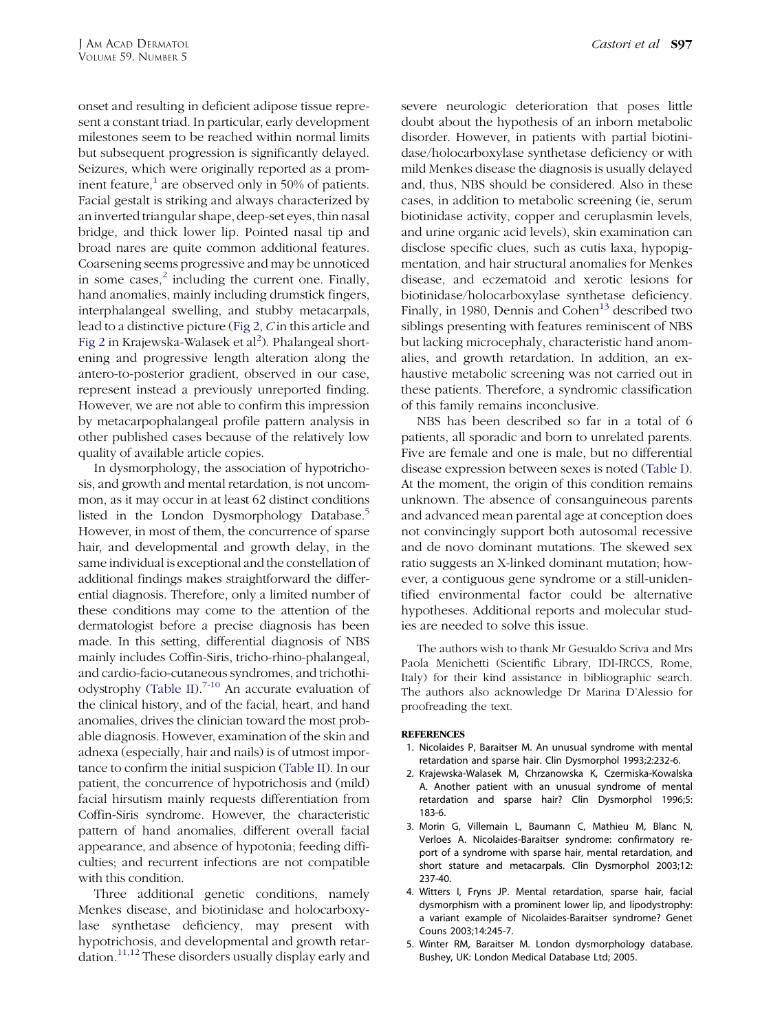<span id="page-5-0"></span>onset and resulting in deficient adipose tissue represent a constant triad. In particular, early development milestones seem to be reached within normal limits but subsequent progression is significantly delayed. Seizures, which were originally reported as a prominent feature, $<sup>1</sup>$  are observed only in 50% of patients.</sup> Facial gestalt is striking and always characterized by an inverted triangular shape, deep-set eyes, thin nasal bridge, and thick lower lip. Pointed nasal tip and broad nares are quite common additional features. Coarsening seems progressive and may be unnoticed in some cases, $<sup>2</sup>$  including the current one. Finally,</sup> hand anomalies, mainly including drumstick fingers, interphalangeal swelling, and stubby metacarpals, lead to a distinctive picture ([Fig 2,](#page-2-0) C in this article and [Fig 2](#page-2-0) in Krajewska-Walasek et al<sup>2</sup>). Phalangeal shortening and progressive length alteration along the antero-to-posterior gradient, observed in our case, represent instead a previously unreported finding. However, we are not able to confirm this impression by metacarpophalangeal profile pattern analysis in other published cases because of the relatively low quality of available article copies.

In dysmorphology, the association of hypotrichosis, and growth and mental retardation, is not uncommon, as it may occur in at least 62 distinct conditions listed in the London Dysmorphology Database.<sup>5</sup> However, in most of them, the concurrence of sparse hair, and developmental and growth delay, in the same individual is exceptional and the constellation of additional findings makes straightforward the differential diagnosis. Therefore, only a limited number of these conditions may come to the attention of the dermatologist before a precise diagnosis has been made. In this setting, differential diagnosis of NBS mainly includes Coffin-Siris, tricho-rhino-phalangeal, and cardio-facio-cutaneous syndromes, and trichothiodystrophy [\(Table II](#page-4-0)).[7-10](#page-6-0) An accurate evaluation of the clinical history, and of the facial, heart, and hand anomalies, drives the clinician toward the most probable diagnosis. However, examination of the skin and adnexa (especially, hair and nails) is of utmost importance to confirm the initial suspicion [\(Table II\)](#page-4-0). In our patient, the concurrence of hypotrichosis and (mild) facial hirsutism mainly requests differentiation from Coffin-Siris syndrome. However, the characteristic pattern of hand anomalies, different overall facial appearance, and absence of hypotonia; feeding difficulties; and recurrent infections are not compatible with this condition.

Three additional genetic conditions, namely Menkes disease, and biotinidase and holocarboxylase synthetase deficiency, may present with hypotrichosis, and developmental and growth retardation.[11,12](#page-6-0) These disorders usually display early and

severe neurologic deterioration that poses little doubt about the hypothesis of an inborn metabolic disorder. However, in patients with partial biotinidase/holocarboxylase synthetase deficiency or with mild Menkes disease the diagnosis is usually delayed and, thus, NBS should be considered. Also in these cases, in addition to metabolic screening (ie, serum biotinidase activity, copper and ceruplasmin levels, and urine organic acid levels), skin examination can disclose specific clues, such as cutis laxa, hypopigmentation, and hair structural anomalies for Menkes disease, and eczematoid and xerotic lesions for biotinidase/holocarboxylase synthetase deficiency. Finally, in 1980, Dennis and Cohen<sup>[13](#page-6-0)</sup> described two siblings presenting with features reminiscent of NBS but lacking microcephaly, characteristic hand anomalies, and growth retardation. In addition, an exhaustive metabolic screening was not carried out in these patients. Therefore, a syndromic classification of this family remains inconclusive.

NBS has been described so far in a total of 6 patients, all sporadic and born to unrelated parents. Five are female and one is male, but no differential disease expression between sexes is noted [\(Table I](#page-3-0)). At the moment, the origin of this condition remains unknown. The absence of consanguineous parents and advanced mean parental age at conception does not convincingly support both autosomal recessive and de novo dominant mutations. The skewed sex ratio suggests an X-linked dominant mutation; however, a contiguous gene syndrome or a still-unidentified environmental factor could be alternative hypotheses. Additional reports and molecular studies are needed to solve this issue.

The authors wish to thank Mr Gesualdo Scriva and Mrs Paola Menichetti (Scientific Library, IDI-IRCCS, Rome, Italy) for their kind assistance in bibliographic search. The authors also acknowledge Dr Marina D'Alessio for proofreading the text.

#### **REFERENCES**

- 1. Nicolaides P, Baraitser M. An unusual syndrome with mental retardation and sparse hair. Clin Dysmorphol 1993;2:232-6.
- 2. Krajewska-Walasek M, Chrzanowska K, Czermiska-Kowalska A. Another patient with an unusual syndrome of mental retardation and sparse hair? Clin Dysmorphol 1996;5: 183-6.
- 3. Morin G, Villemain L, Baumann C, Mathieu M, Blanc N, Verloes A. Nicolaides-Baraitser syndrome: confirmatory report of a syndrome with sparse hair, mental retardation, and short stature and metacarpals. Clin Dysmorphol 2003;12: 237-40.
- 4. Witters I, Fryns JP. Mental retardation, sparse hair, facial dysmorphism with a prominent lower lip, and lipodystrophy: a variant example of Nicolaides-Baraitser syndrome? Genet Couns 2003;14:245-7.
- 5. Winter RM, Baraitser M. London dysmorphology database. Bushey, UK: London Medical Database Ltd; 2005.